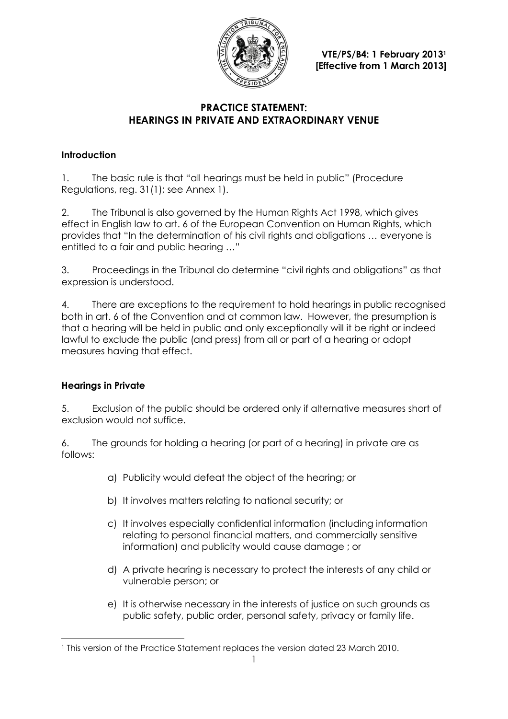

**VTE/PS/B4: 1 February 2013<sup>1</sup> [Effective from 1 March 2013]**

## **PRACTICE STATEMENT: HEARINGS IN PRIVATE AND EXTRAORDINARY VENUE**

## **Introduction**

1. The basic rule is that "all hearings must be held in public" (Procedure Regulations, reg. 31(1); see Annex 1).

2. The Tribunal is also governed by the Human Rights Act 1998, which gives effect in English law to art. 6 of the European Convention on Human Rights, which provides that "In the determination of his civil rights and obligations … everyone is entitled to a fair and public hearing …"

3. Proceedings in the Tribunal do determine "civil rights and obligations" as that expression is understood.

4. There are exceptions to the requirement to hold hearings in public recognised both in art. 6 of the Convention and at common law. However, the presumption is that a hearing will be held in public and only exceptionally will it be right or indeed lawful to exclude the public (and press) from all or part of a hearing or adopt measures having that effect.

# **Hearings in Private**

 $\overline{a}$ 

5. Exclusion of the public should be ordered only if alternative measures short of exclusion would not suffice.

6. The grounds for holding a hearing (or part of a hearing) in private are as follows:

- a) Publicity would defeat the object of the hearing; or
- b) It involves matters relating to national security; or
- c) It involves especially confidential information (including information relating to personal financial matters, and commercially sensitive information) and publicity would cause damage ; or
- d) A private hearing is necessary to protect the interests of any child or vulnerable person; or
- e) It is otherwise necessary in the interests of justice on such grounds as public safety, public order, personal safety, privacy or family life.

<sup>1</sup> This version of the Practice Statement replaces the version dated 23 March 2010.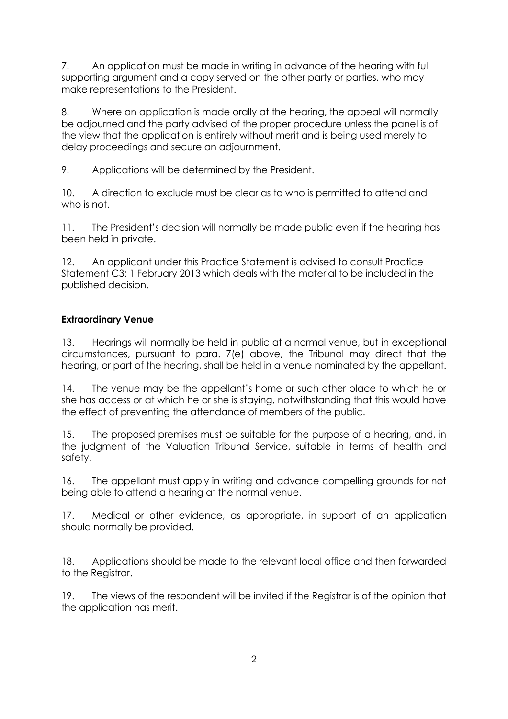7. An application must be made in writing in advance of the hearing with full supporting argument and a copy served on the other party or parties, who may make representations to the President.

8. Where an application is made orally at the hearing, the appeal will normally be adjourned and the party advised of the proper procedure unless the panel is of the view that the application is entirely without merit and is being used merely to delay proceedings and secure an adjournment.

9. Applications will be determined by the President.

10. A direction to exclude must be clear as to who is permitted to attend and who is not.

11. The President's decision will normally be made public even if the hearing has been held in private.

12. An applicant under this Practice Statement is advised to consult Practice Statement C3: 1 February 2013 which deals with the material to be included in the published decision.

#### **Extraordinary Venue**

13. Hearings will normally be held in public at a normal venue, but in exceptional circumstances, pursuant to para. 7(e) above, the Tribunal may direct that the hearing, or part of the hearing, shall be held in a venue nominated by the appellant.

14. The venue may be the appellant's home or such other place to which he or she has access or at which he or she is staying, notwithstanding that this would have the effect of preventing the attendance of members of the public.

15. The proposed premises must be suitable for the purpose of a hearing, and, in the judgment of the Valuation Tribunal Service, suitable in terms of health and safety.

16. The appellant must apply in writing and advance compelling grounds for not being able to attend a hearing at the normal venue.

17. Medical or other evidence, as appropriate, in support of an application should normally be provided.

18. Applications should be made to the relevant local office and then forwarded to the Registrar.

19. The views of the respondent will be invited if the Registrar is of the opinion that the application has merit.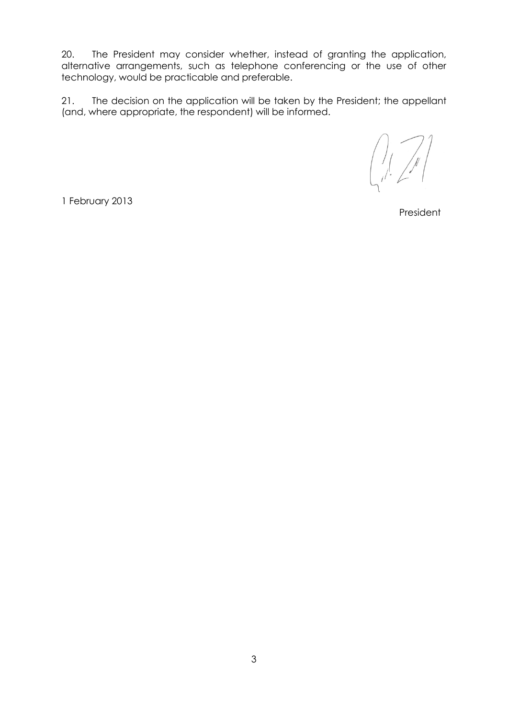20. The President may consider whether, instead of granting the application, alternative arrangements, such as telephone conferencing or the use of other technology, would be practicable and preferable.

21. The decision on the application will be taken by the President; the appellant (and, where appropriate, the respondent) will be informed.

1 February 2013

President